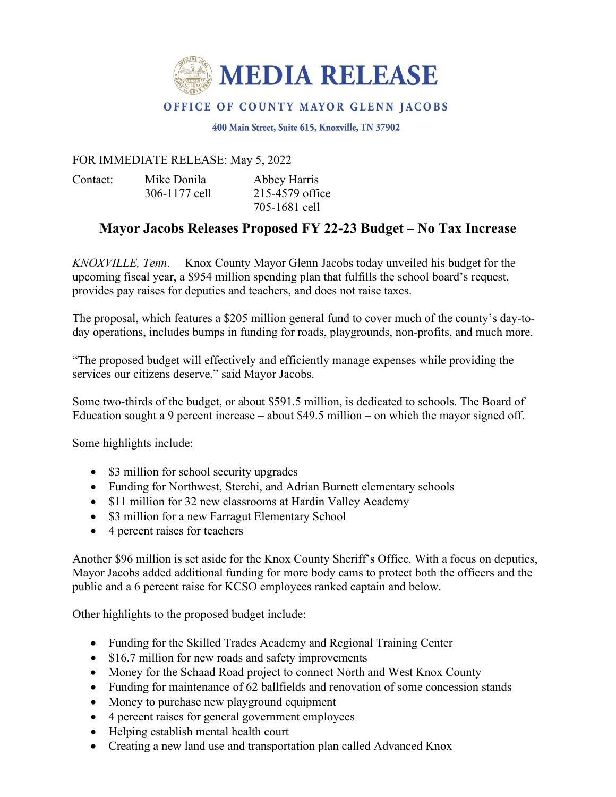

## OFFICE OF COUNTY MAYOR GLENN JACOBS

400 Main Street, Suite 615, Knoxville, TN 37902

## FOR IMMEDIATE RELEASE: May 5, 2022

Contact: Mike Donila Abbey Harris

306-1177 cell 215-4579 office 705-1681 cell

## **Mayor Jacobs Releases Proposed FY 22-23 Budget – No Tax Increase**

*KNOXVILLE, Tenn*.— Knox County Mayor Glenn Jacobs today unveiled his budget for the upcoming fiscal year, a \$954 million spending plan that fulfills the school board's request, provides pay raises for deputies and teachers, and does not raise taxes.

The proposal, which features a \$205 million general fund to cover much of the county's day-today operations, includes bumps in funding for roads, playgrounds, non-profits, and much more.

"The proposed budget will effectively and efficiently manage expenses while providing the services our citizens deserve," said Mayor Jacobs.

Some two-thirds of the budget, or about \$591.5 million, is dedicated to schools. The Board of Education sought a 9 percent increase – about \$49.5 million – on which the mayor signed off.

Some highlights include:

- \$3 million for school security upgrades
- Funding for Northwest, Sterchi, and Adrian Burnett elementary schools
- \$11 million for 32 new classrooms at Hardin Valley Academy
- \$3 million for a new Farragut Elementary School
- 4 percent raises for teachers

Another \$96 million is set aside for the Knox County Sheriff's Office. With a focus on deputies, Mayor Jacobs added additional funding for more body cams to protect both the officers and the public and a 6 percent raise for KCSO employees ranked captain and below.

Other highlights to the proposed budget include:

- Funding for the Skilled Trades Academy and Regional Training Center
- \$16.7 million for new roads and safety improvements
- Money for the Schaad Road project to connect North and West Knox County
- Funding for maintenance of 62 ballfields and renovation of some concession stands
- Money to purchase new playground equipment
- 4 percent raises for general government employees
- Helping establish mental health court
- Creating a new land use and transportation plan called Advanced Knox